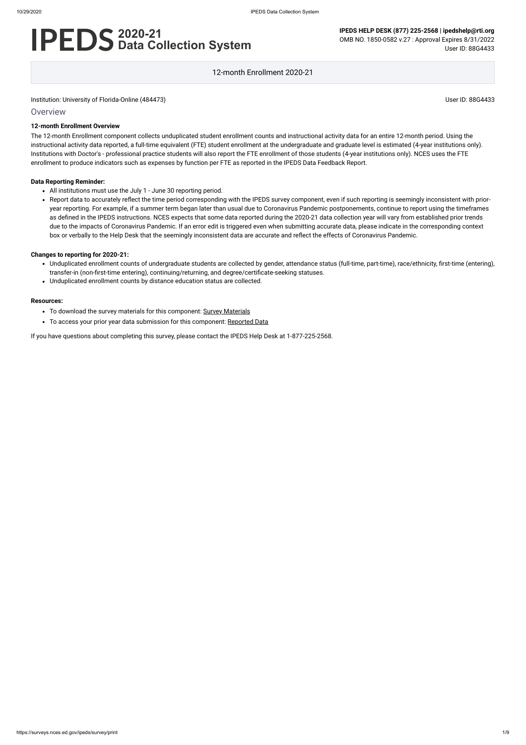**Overview** 

# **2020-21 Data Collection System**

**IPEDS HELP DESK (877) 225-2568 | ipedshelp@rti.org** OMB NO. 1850-0582 v.27 : Approval Expires 8/31/2022 User ID: 88G4433

12-month Enrollment 2020-21

#### **12-month Enrollment Overview**

The 12-month Enrollment component collects unduplicated student enrollment counts and instructional activity data for an entire 12-month period. Using the instructional activity data reported, a full-time equivalent (FTE) student enrollment at the undergraduate and graduate level is estimated (4-year institutions only). Institutions with Doctor's - professional practice students will also report the FTE enrollment of those students (4-year institutions only). NCES uses the FTE enrollment to produce indicators such as expenses by function per FTE as reported in the IPEDS Data Feedback Report.

#### **Data Reporting Reminder:**

- All institutions must use the July 1 June 30 reporting period.
- Report data to accurately reflect the time period corresponding with the IPEDS survey component, even if such reporting is seemingly inconsistent with prioryear reporting. For example, if a summer term began later than usual due to Coronavirus Pandemic postponements, continue to report using the timeframes as defined in the IPEDS instructions. NCES expects that some data reported during the 2020-21 data collection year will vary from established prior trends due to the impacts of Coronavirus Pandemic. If an error edit is triggered even when submitting accurate data, please indicate in the corresponding context box or verbally to the Help Desk that the seemingly inconsistent data are accurate and reflect the effects of Coronavirus Pandemic.

#### **Changes to reporting for 2020-21:**

- Unduplicated enrollment counts of undergraduate students are collected by gender, attendance status (full-time, part-time), race/ethnicity, first-time (entering), transfer-in (non-first-time entering), continuing/returning, and degree/certificate-seeking statuses.
- Unduplicated enrollment counts by distance education status are collected.

#### **Resources:**

- To download the survey materials for this component: Survey [Materials](https://surveys.nces.ed.gov/ipeds/public/survey-materials/index)
- To access your prior year data submission for this component: [Reported Data](https://surveys.nces.ed.gov/IPEDS_py/DataForms.aspx?f0e9e4efc4dfb8afb3afafb2aea1eef0edf1e0f4c4dfb8b4a1f0eee0edc4dfb8b3b3c2afafaeaea1f0e9e4efc9dce8e0b8d0e9e4f1e0edeee4eff49beae19bc1e7eaede4dfdca8cae9e7e4e9e0a1ebedeadee0eeeeb8e0f3efe0ede9dce7a1eddfefb8acabaaadb4aaadabadab9bacabb5b0b3b5abb49bbcc8)

If you have questions about completing this survey, please contact the IPEDS Help Desk at 1-877-225-2568.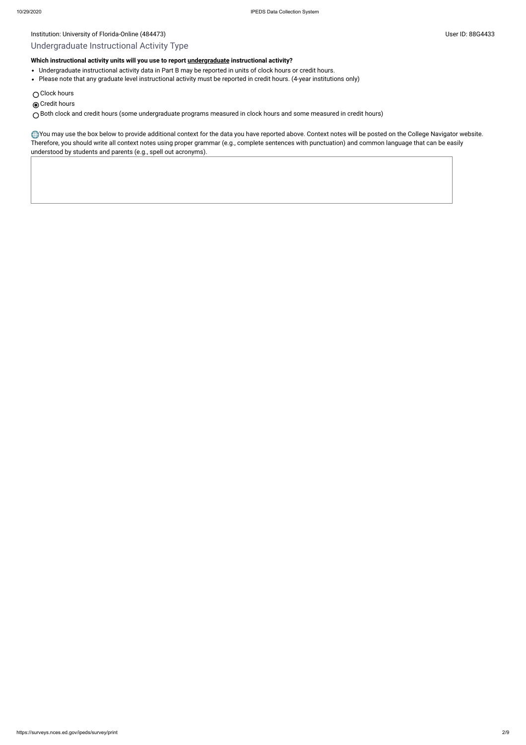- Undergraduate instructional activity data in Part B may be reported in units of clock hours or credit hours.
- Please note that any graduate level instructional activity must be reported in credit hours. (4-year institutions only)
- Clock hours
- **◎** Credit hours

# Undergraduate Instructional Activity Type

# **Which instructional activity units will you use to report [undergraduate](javascript:openglossary(677)) instructional activity?**

You may use the box below to provide additional context for the data you have reported above. Context notes will be posted on the College Navigator website. Therefore, you should write all context notes using proper grammar (e.g., complete sentences with punctuation) and common language that can be easily understood by students and parents (e.g., spell out acronyms).

Both clock and credit hours (some undergraduate programs measured in clock hours and some measured in credit hours)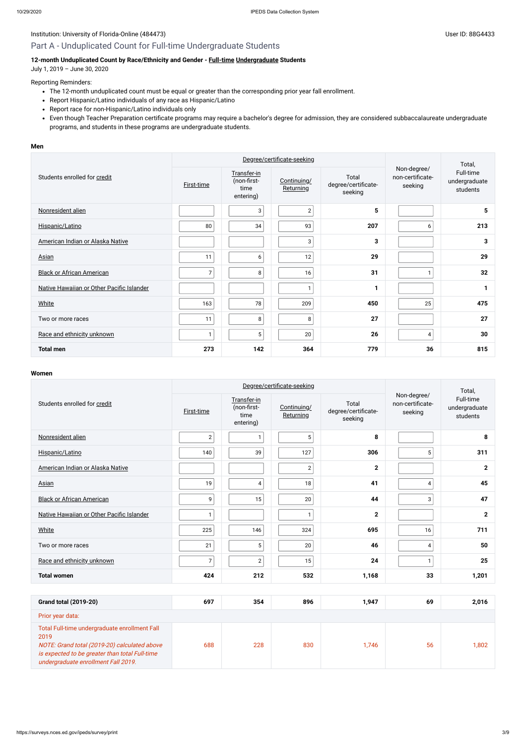# Institution: University of Florida-Online (484473) Channel States and States and States and Diserve ID: 88G4433

# Part A - Unduplicated Count for Full-time Undergraduate Students

# **12-month Unduplicated Count by Race/Ethnicity and Gender - [Full-time](javascript:openglossary(259)) [Undergraduate](javascript:openglossary(677)) Students**

July 1, 2019 – June 30, 2020

#### Reporting Reminders:

- The 12-month unduplicated count must be equal or greater than the corresponding prior year fall enrollment.
- Report Hispanic/Latino individuals of any race as Hispanic/Latino
- Report race for non-Hispanic/Latino individuals only
- Even though Teacher Preparation certificate programs may require a bachelor's degree for admission, they are considered subbaccalaureate undergraduate programs, and students in these programs are undergraduate students.

#### **Men**

|                                           |                   | Degree/certificate-seeking                      |                          | Total,                                  |                                            |                                        |
|-------------------------------------------|-------------------|-------------------------------------------------|--------------------------|-----------------------------------------|--------------------------------------------|----------------------------------------|
| Students enrolled for credit              | <b>First-time</b> | Transfer-in<br>(non-first-<br>time<br>entering) | Continuing/<br>Returning | Total<br>degree/certificate-<br>seeking | Non-degree/<br>non-certificate-<br>seeking | Full-time<br>undergraduate<br>students |
| Nonresident alien                         |                   | 3                                               | $\overline{2}$           | 5                                       |                                            | 5                                      |
| Hispanic/Latino                           | 80                | 34                                              | 93                       | 207                                     | 6                                          | 213                                    |
| American Indian or Alaska Native          |                   |                                                 | 3                        | 3                                       |                                            | 3                                      |
| <b>Asian</b>                              | 11                | 6                                               | 12                       | 29                                      |                                            | 29                                     |
| <b>Black or African American</b>          | $\overline{7}$    | 8                                               | 16                       | 31                                      | $\mathbf{1}$                               | 32                                     |
| Native Hawaiian or Other Pacific Islander |                   |                                                 | 1                        |                                         |                                            |                                        |
| <b>White</b>                              | 163               | 78                                              | 209                      | 450                                     | 25                                         | 475                                    |
| Two or more races                         | 11                | 8                                               | 8                        | 27                                      |                                            | 27                                     |
| Race and ethnicity unknown                | $\mathbf{1}$      | 5                                               | 20                       | 26                                      | $\overline{4}$                             | 30                                     |
| <b>Total men</b>                          | 273               | 142                                             | 364                      | 779                                     | 36                                         | 815                                    |

#### **Women**

|                                                                                                                                                         |                | Degree/certificate-seeking                      |                          | Total,                                  |                                            |                                        |
|---------------------------------------------------------------------------------------------------------------------------------------------------------|----------------|-------------------------------------------------|--------------------------|-----------------------------------------|--------------------------------------------|----------------------------------------|
| Students enrolled for credit                                                                                                                            | First-time     | Transfer-in<br>(non-first-<br>time<br>entering) | Continuing/<br>Returning | Total<br>degree/certificate-<br>seeking | Non-degree/<br>non-certificate-<br>seeking | Full-time<br>undergraduate<br>students |
| Nonresident alien                                                                                                                                       | $\mathbf{2}$   | $\mathbf{1}$                                    | 5                        | 8                                       |                                            | 8                                      |
| Hispanic/Latino                                                                                                                                         | 140            | 39                                              | 127                      | 306                                     | 5                                          | 311                                    |
| American Indian or Alaska Native                                                                                                                        |                |                                                 | $\sqrt{2}$               | $\mathbf{2}$                            |                                            | $\overline{2}$                         |
| <b>Asian</b>                                                                                                                                            | 19             | $\overline{4}$                                  | 18                       | 41                                      | 4                                          | 45                                     |
| <b>Black or African American</b>                                                                                                                        | 9              | 15                                              | 20                       | 44                                      | 3                                          | 47                                     |
| Native Hawaiian or Other Pacific Islander                                                                                                               | $\mathbf{1}$   |                                                 | $\mathbf{1}$             | $\overline{2}$                          |                                            | $\mathbf 2$                            |
| <b>White</b>                                                                                                                                            | 225            | 146                                             | 324                      | 695                                     | 16                                         | 711                                    |
| Two or more races                                                                                                                                       | 21             | $5\phantom{.0}$                                 | 20                       | 46                                      | $\overline{\mathbf{4}}$                    | 50                                     |
| Race and ethnicity unknown                                                                                                                              | $\overline{7}$ | $\overline{2}$                                  | 15                       | 24                                      | $\mathbf{1}$                               | 25                                     |
| <b>Total women</b>                                                                                                                                      | 424            | 212                                             | 532                      | 1,168                                   | 33                                         | 1,201                                  |
|                                                                                                                                                         |                |                                                 |                          |                                         |                                            |                                        |
| <b>Grand total (2019-20)</b>                                                                                                                            | 697            | 354                                             | 896                      | 1,947                                   | 69                                         | 2,016                                  |
| Prior year data:                                                                                                                                        |                |                                                 |                          |                                         |                                            |                                        |
| Total Full-time undergraduate enrollment Fall<br>2019<br>NOTE: Grand total (2019-20) calculated above<br>is expected to be greater than total Full-time | 688            | 228                                             | 830                      | 1,746                                   | 56                                         | 1,802                                  |

undergraduate enrollment Fall 2019.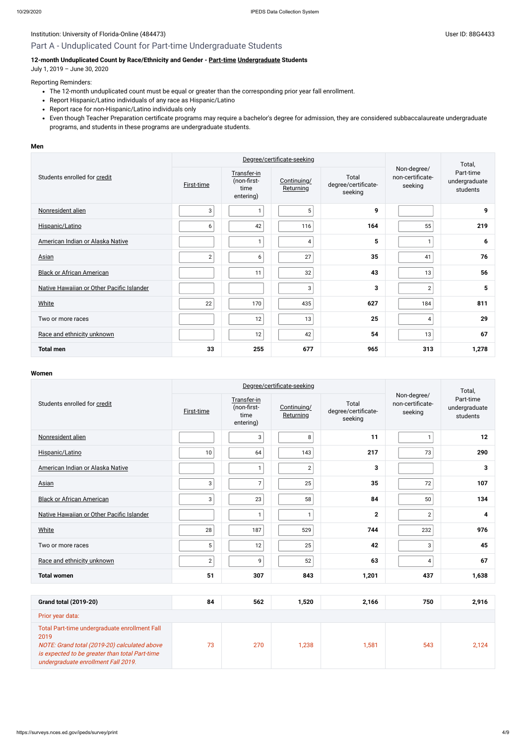# Part A - Unduplicated Count for Part-time Undergraduate Students

# **12-month Unduplicated Count by Race/Ethnicity and Gender - [Part-time](javascript:openglossary(469)) [Undergraduate](javascript:openglossary(677)) Students**

July 1, 2019 – June 30, 2020

### Reporting Reminders:

- The 12-month unduplicated count must be equal or greater than the corresponding prior year fall enrollment.
- Report Hispanic/Latino individuals of any race as Hispanic/Latino
- Report race for non-Hispanic/Latino individuals only
- Even though Teacher Preparation certificate programs may require a bachelor's degree for admission, they are considered subbaccalaureate undergraduate programs, and students in these programs are undergraduate students.

#### **Men**

|                                           |                   | Degree/certificate-seeking                      |                          | Total,                                  |                                            |                                        |
|-------------------------------------------|-------------------|-------------------------------------------------|--------------------------|-----------------------------------------|--------------------------------------------|----------------------------------------|
| Students enrolled for credit              | <b>First-time</b> | Transfer-in<br>(non-first-<br>time<br>entering) | Continuing/<br>Returning | Total<br>degree/certificate-<br>seeking | Non-degree/<br>non-certificate-<br>seeking | Part-time<br>undergraduate<br>students |
| Nonresident alien                         | 3                 |                                                 | 5                        | 9                                       |                                            | 9                                      |
| Hispanic/Latino                           | 6                 | 42                                              | 116                      | 164                                     | 55                                         | 219                                    |
| American Indian or Alaska Native          |                   |                                                 | 4                        | 5                                       | 1                                          | 6                                      |
| Asian                                     | $\overline{2}$    | 6                                               | 27                       | 35                                      | 41                                         | 76                                     |
| <b>Black or African American</b>          |                   | 11                                              | 32                       | 43                                      | 13                                         | 56                                     |
| Native Hawaiian or Other Pacific Islander |                   |                                                 | $\mathbf{3}$             | 3                                       | $\sqrt{2}$                                 | 5                                      |
| <b>White</b>                              | 22                | 170                                             | 435                      | 627                                     | 184                                        | 811                                    |
| Two or more races                         |                   | 12                                              | 13                       | 25                                      | 4                                          | 29                                     |
| Race and ethnicity unknown                |                   | 12                                              | 42                       | 54                                      | 13                                         | 67                                     |
| <b>Total men</b>                          | 33                | 255                                             | 677                      | 965                                     | 313                                        | 1,278                                  |

#### **Women**

|                                                                                                       |                | Degree/certificate-seeking                      |                          | Total,                                  |                                            |                                        |
|-------------------------------------------------------------------------------------------------------|----------------|-------------------------------------------------|--------------------------|-----------------------------------------|--------------------------------------------|----------------------------------------|
| Students enrolled for credit                                                                          | First-time     | Transfer-in<br>(non-first-<br>time<br>entering) | Continuing/<br>Returning | Total<br>degree/certificate-<br>seeking | Non-degree/<br>non-certificate-<br>seeking | Part-time<br>undergraduate<br>students |
| Nonresident alien                                                                                     |                | $\mathbf{3}$                                    | 8                        | 11                                      | $\mathbf{1}$                               | 12                                     |
| Hispanic/Latino                                                                                       | 10             | 64                                              | 143                      | 217                                     | 73                                         | 290                                    |
| American Indian or Alaska Native                                                                      |                | $\mathbf{1}$                                    | $\sqrt{2}$               | 3                                       |                                            | 3                                      |
| Asian                                                                                                 | 3              | $\overline{7}$                                  | 25                       | 35                                      | 72                                         | 107                                    |
| <b>Black or African American</b>                                                                      | 3              | 23                                              | 58                       | 84                                      | 50                                         | 134                                    |
| Native Hawaiian or Other Pacific Islander                                                             |                | $\mathbf{1}$                                    | -1                       | $\mathbf 2$                             | $\sqrt{2}$                                 | 4                                      |
| White                                                                                                 | 28             | 187                                             | 529                      | 744                                     | 232                                        | 976                                    |
| Two or more races                                                                                     | 5              | 12                                              | 25                       | 42                                      | 3                                          | 45                                     |
| Race and ethnicity unknown                                                                            | $\overline{2}$ | 9                                               | 52                       | 63                                      | 4                                          | 67                                     |
| <b>Total women</b>                                                                                    | 51             | 307                                             | 843                      | 1,201                                   | 437                                        | 1,638                                  |
|                                                                                                       |                |                                                 |                          |                                         |                                            |                                        |
| <b>Grand total (2019-20)</b>                                                                          | 84             | 562                                             | 1,520                    | 2,166                                   | 750                                        | 2,916                                  |
| Prior year data:                                                                                      |                |                                                 |                          |                                         |                                            |                                        |
| Total Part-time undergraduate enrollment Fall<br>2019<br>NOTE: Grand total (2019-20) calculated above | 73             | 270                                             | 1,238                    | 1,581                                   | 543                                        | 2,124                                  |

is expected to be greater than total Part-time

undergraduate enrollment Fall 2019.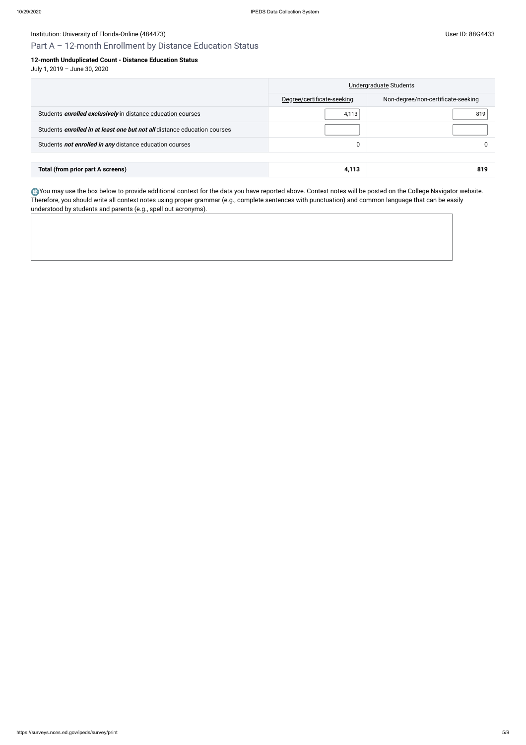# Institution: University of Florida-Online (484473) Channel States and States and States and Diserve ID: 88G4433

# Part A – 12-month Enrollment by Distance Education Status

## **12-month Unduplicated Count - Distance Education Status**

July 1, 2019 – June 30, 2020

|                                                                                 | Undergraduate Students     |                                    |  |
|---------------------------------------------------------------------------------|----------------------------|------------------------------------|--|
|                                                                                 | Degree/certificate-seeking | Non-degree/non-certificate-seeking |  |
| Students <i>enrolled exclusively</i> in distance education courses              | 4,113                      | 819                                |  |
| Students <i>enrolled in at least one but not all</i> distance education courses |                            |                                    |  |
| Students not enrolled in any distance education courses                         |                            |                                    |  |
|                                                                                 |                            |                                    |  |
| Total (from prior part A screens)                                               | 4,113                      | 819                                |  |

You may use the box below to provide additional context for the data you have reported above. Context notes will be posted on the College Navigator website. Therefore, you should write all context notes using proper grammar (e.g., complete sentences with punctuation) and common language that can be easily understood by students and parents (e.g., spell out acronyms).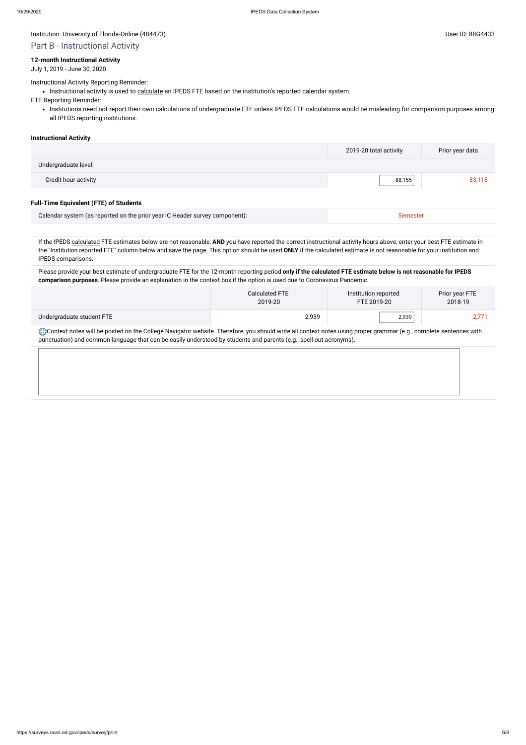Part B - Instructional Activity

### **12-month Instructional Activity**

July 1, 2019 - June 30, 2020

Instructional Activity Reporting Reminder:

• Instructional activity is used to [calculate](javascript:openglossary(853)) an IPEDS FTE based on the institution's reported calendar system.

• Institutions need not report their own [calculations](javascript:openglossary(853)) of undergraduate FTE unless IPEDS FTE calculations would be misleading for comparison purposes among all IPEDS reporting institutions.

FTE Reporting Reminder:

#### **Instructional Activity**

|                             | 2019-20 total activity | Prior year data |
|-----------------------------|------------------------|-----------------|
| Undergraduate level:        |                        |                 |
| <b>Credit hour activity</b> | 88,155                 | 83,118          |

#### **Full-Time Equivalent (FTE) of Students**

Context notes will be posted on the College Navigator website. Therefore, you should write all context notes using proper grammar (e.g., complete sentences with punctuation) and common language that can be easily understood by students and parents (e.g., spell out acronyms).

| Calendar system (as reported on the prior year IC Header survey component):                                                                                                                                                                                                                                                                   | Semester |
|-----------------------------------------------------------------------------------------------------------------------------------------------------------------------------------------------------------------------------------------------------------------------------------------------------------------------------------------------|----------|
|                                                                                                                                                                                                                                                                                                                                               |          |
| If the IPEDS calculated FTE estimates below are not reasonable, AND you have reported the correct instructional activity hours above, enter your best FTE estimate in<br>the "Institution reported FTE" column below and save the page. This option should be used ONLY if the calculated estimate is not reasonable for your institution and |          |
| IPEDS comparisons.                                                                                                                                                                                                                                                                                                                            |          |

Please provide your best estimate of undergraduate FTE for the 12-month reporting period **only if the calculated FTE estimate below is not reasonable for IPEDS comparison purposes**. Please provide an explanation in the context box if the option is used due to Coronavirus Pandemic.

|                           | Calculated FTE | Institution reported | Prior year FTE |  |
|---------------------------|----------------|----------------------|----------------|--|
|                           | 2019-20        | FTE 2019-20          | 2018-19        |  |
| Undergraduate student FTE | 2,939          | 2,939                | $2,77^{\circ}$ |  |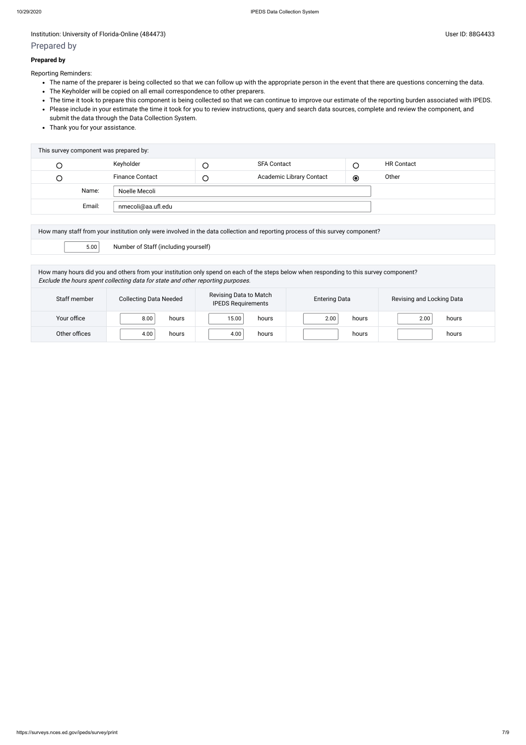# Prepared by

#### **Prepared by**

Reporting Reminders:

- The name of the preparer is being collected so that we can follow up with the appropriate person in the event that there are questions concerning the data.
- The Keyholder will be copied on all email correspondence to other preparers.
- The time it took to prepare this component is being collected so that we can continue to improve our estimate of the reporting burden associated with IPEDS.
- Please include in your estimate the time it took for you to review instructions, query and search data sources, complete and review the component, and submit the data through the Data Collection System.
- Thank you for your assistance.

| This survey component was prepared by: |        |                        |        |                          |         |                   |  |
|----------------------------------------|--------|------------------------|--------|--------------------------|---------|-------------------|--|
| U                                      |        | Keyholder              |        | <b>SFA Contact</b>       | С       | <b>HR Contact</b> |  |
| $\cup$                                 |        | <b>Finance Contact</b> | $\cup$ | Academic Library Contact | $\odot$ | Other             |  |
|                                        | Name:  | Noelle Mecoli          |        |                          |         |                   |  |
|                                        | Email: | nmecoli@aa.ufl.edu     |        |                          |         |                   |  |
|                                        |        |                        |        |                          |         |                   |  |

| How many staff from your institution only were involved in the data collection and reporting process of this survey component? |  |  |  |  |
|--------------------------------------------------------------------------------------------------------------------------------|--|--|--|--|
| 5.00<br>Number of Staff (including yourself)                                                                                   |  |  |  |  |

How many hours did you and others from your institution only spend on each of the steps below when responding to this survey component? Exclude the hours spent collecting data for state and other reporting purposes.

| Staff member  | <b>Collecting Data Needed</b> | Revising Data to Match<br><b>IPEDS Requirements</b> | <b>Entering Data</b> | Revising and Locking Data |
|---------------|-------------------------------|-----------------------------------------------------|----------------------|---------------------------|
| Your office   | 8.00<br>hours                 | 15.00<br>hours                                      | 2.00<br>hours        | hours<br>2.00             |
| Other offices | 4.00<br>hours                 | 4.00<br>hours                                       | hours                | hours                     |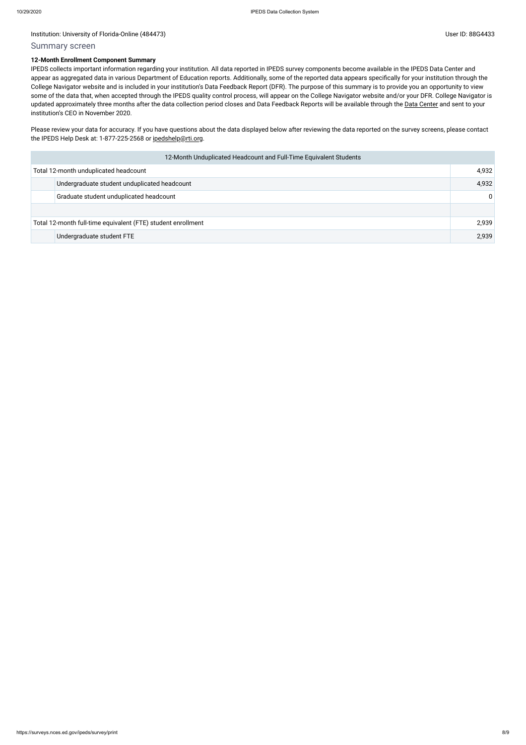#### Summary screen

#### **12-Month Enrollment Component Summary**

Please review your data for accuracy. If you have questions about the data displayed below after reviewing the data reported on the survey screens, please contact the IPEDS Help Desk at: 1-877-225-2568 or [ipedshelp@rti.org.](mailto:ipedshelp@rti.org)

IPEDS collects important information regarding your institution. All data reported in IPEDS survey components become available in the IPEDS Data Center and appear as aggregated data in various Department of Education reports. Additionally, some of the reported data appears specifically for your institution through the College Navigator website and is included in your institution's Data Feedback Report (DFR). The purpose of this summary is to provide you an opportunity to view some of the data that, when accepted through the IPEDS quality control process, will appear on the College Navigator website and/or your DFR. College Navigator is updated approximately three months after the data collection period closes and Data Feedback Reports will be available through the Data [Center](https://nces.ed.gov/ipeds/use-the-data) and sent to your institution's CEO in November 2020.

| 12-Month Unduplicated Headcount and Full-Time Equivalent Students |                                         |          |  |  |
|-------------------------------------------------------------------|-----------------------------------------|----------|--|--|
|                                                                   | Total 12-month unduplicated headcount   |          |  |  |
| Undergraduate student unduplicated headcount                      |                                         |          |  |  |
|                                                                   | Graduate student unduplicated headcount | $\Omega$ |  |  |
|                                                                   |                                         |          |  |  |
| Total 12-month full-time equivalent (FTE) student enrollment      |                                         |          |  |  |
|                                                                   | Undergraduate student FTE               | 2,939    |  |  |